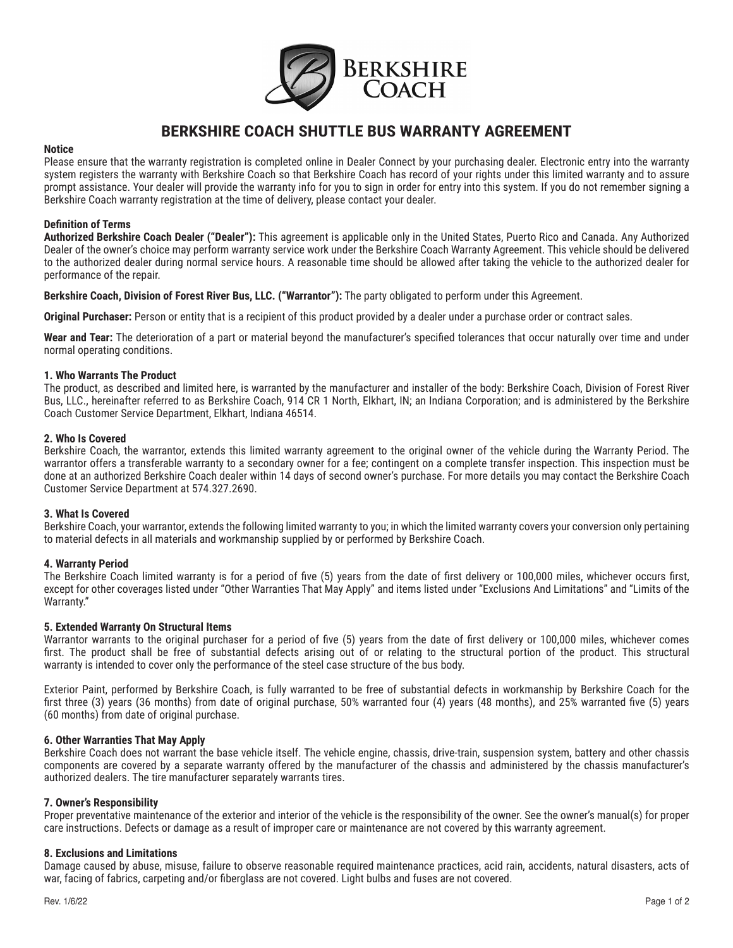

# **BERKSHIRE COACH SHUTTLE BUS WARRANTY AGREEMENT**

## **Notice**

Please ensure that the warranty registration is completed online in Dealer Connect by your purchasing dealer. Electronic entry into the warranty system registers the warranty with Berkshire Coach so that Berkshire Coach has record of your rights under this limited warranty and to assure prompt assistance. Your dealer will provide the warranty info for you to sign in order for entry into this system. If you do not remember signing a Berkshire Coach warranty registration at the time of delivery, please contact your dealer.

# **Definition of Terms**

**Authorized Berkshire Coach Dealer ("Dealer"):** This agreement is applicable only in the United States, Puerto Rico and Canada. Any Authorized Dealer of the owner's choice may perform warranty service work under the Berkshire Coach Warranty Agreement. This vehicle should be delivered to the authorized dealer during normal service hours. A reasonable time should be allowed after taking the vehicle to the authorized dealer for performance of the repair.

**Berkshire Coach, Division of Forest River Bus, LLC. ("Warrantor"):** The party obligated to perform under this Agreement.

**Original Purchaser:** Person or entity that is a recipient of this product provided by a dealer under a purchase order or contract sales.

**Wear and Tear:** The deterioration of a part or material beyond the manufacturer's specified tolerances that occur naturally over time and under normal operating conditions.

## **1. Who Warrants The Product**

The product, as described and limited here, is warranted by the manufacturer and installer of the body: Berkshire Coach, Division of Forest River Bus, LLC., hereinafter referred to as Berkshire Coach, 914 CR 1 North, Elkhart, IN; an Indiana Corporation; and is administered by the Berkshire Coach Customer Service Department, Elkhart, Indiana 46514.

## **2. Who Is Covered**

Berkshire Coach, the warrantor, extends this limited warranty agreement to the original owner of the vehicle during the Warranty Period. The warrantor offers a transferable warranty to a secondary owner for a fee; contingent on a complete transfer inspection. This inspection must be done at an authorized Berkshire Coach dealer within 14 days of second owner's purchase. For more details you may contact the Berkshire Coach Customer Service Department at 574.327.2690.

# **3. What Is Covered**

Berkshire Coach, your warrantor, extends the following limited warranty to you; in which the limited warranty covers your conversion only pertaining to material defects in all materials and workmanship supplied by or performed by Berkshire Coach.

# **4. Warranty Period**

The Berkshire Coach limited warranty is for a period of five (5) years from the date of first delivery or 100,000 miles, whichever occurs first, except for other coverages listed under "Other Warranties That May Apply" and items listed under "Exclusions And Limitations" and "Limits of the Warranty."

# **5. Extended Warranty On Structural Items**

Warrantor warrants to the original purchaser for a period of five (5) years from the date of first delivery or 100,000 miles, whichever comes first. The product shall be free of substantial defects arising out of or relating to the structural portion of the product. This structural warranty is intended to cover only the performance of the steel case structure of the bus body.

Exterior Paint, performed by Berkshire Coach, is fully warranted to be free of substantial defects in workmanship by Berkshire Coach for the first three (3) years (36 months) from date of original purchase, 50% warranted four (4) years (48 months), and 25% warranted five (5) years (60 months) from date of original purchase.

# **6. Other Warranties That May Apply**

Berkshire Coach does not warrant the base vehicle itself. The vehicle engine, chassis, drive-train, suspension system, battery and other chassis components are covered by a separate warranty offered by the manufacturer of the chassis and administered by the chassis manufacturer's authorized dealers. The tire manufacturer separately warrants tires.

#### **7. Owner's Responsibility**

Proper preventative maintenance of the exterior and interior of the vehicle is the responsibility of the owner. See the owner's manual(s) for proper care instructions. Defects or damage as a result of improper care or maintenance are not covered by this warranty agreement.

# **8. Exclusions and Limitations**

Damage caused by abuse, misuse, failure to observe reasonable required maintenance practices, acid rain, accidents, natural disasters, acts of war, facing of fabrics, carpeting and/or fiberglass are not covered. Light bulbs and fuses are not covered.